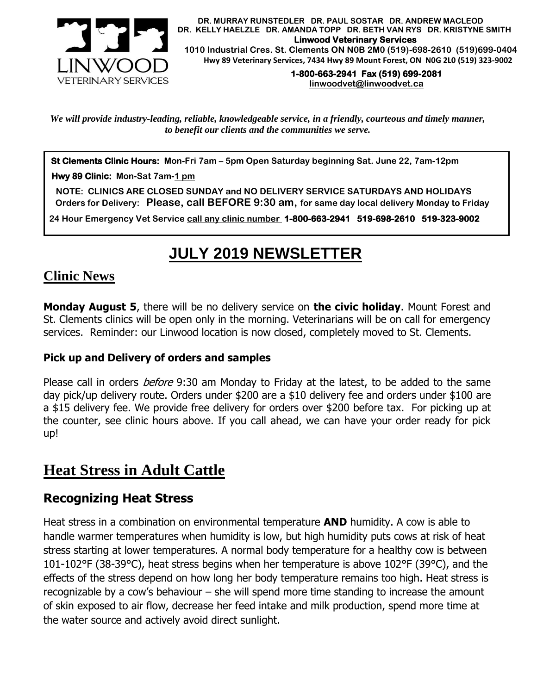

 **DR. MURRAY RUNSTEDLER DR. PAUL SOSTAR DR. ANDREW MACLEOD DR. KELLY HAELZLE DR. AMANDA TOPP DR. BETH VAN RYS DR. KRISTYNE SMITH Linwood Veterinary Services 1010 Industrial Cres. St. Clements ON N0B 2M0 (519)-698-2610 (519)699-0404 Hwy 89 Veterinary Services, 7434 Hwy 89 Mount Forest, ON N0G 2L0 (519) 323-9002**

> **1-800-663-2941 Fax (519) 699-2081 [linwoodvet@linwoodvet.ca](mailto:linwoodvet@linwoodvet.ca)**

*We will provide industry-leading, reliable, knowledgeable service, in a friendly, courteous and timely manner, to benefit our clients and the communities we serve.*

**St Clements Clinic Hours: Mon-Fri 7am – 5pm Open Saturday beginning Sat. June 22, 7am-12pm**

 **Hwy 89 Clinic: Mon-Sat 7am-1 pm**

 **NOTE: CLINICS ARE CLOSED SUNDAY and NO DELIVERY SERVICE SATURDAYS AND HOLIDAYS Orders for Delivery: Please, call BEFORE 9:30 am, for same day local delivery Monday to Friday** 

 **24 Hour Emergency Vet Service call any clinic number 1-800-663-2941 519-698-2610 519-323-9002**

# **JULY 2019 NEWSLETTER**

#### **Clinic News**

**Monday August 5**, there will be no delivery service on **the civic holiday**. Mount Forest and St. Clements clinics will be open only in the morning. Veterinarians will be on call for emergency services. Reminder: our Linwood location is now closed, completely moved to St. Clements.

#### **Pick up and Delivery of orders and samples**

Please call in orders *before* 9:30 am Monday to Friday at the latest, to be added to the same day pick/up delivery route. Orders under \$200 are a \$10 delivery fee and orders under \$100 are a \$15 delivery fee. We provide free delivery for orders over \$200 before tax. For picking up at the counter, see clinic hours above. If you call ahead, we can have your order ready for pick up!

# **Heat Stress in Adult Cattle**

#### **Recognizing Heat Stress**

Heat stress in a combination on environmental temperature **AND** humidity. A cow is able to handle warmer temperatures when humidity is low, but high humidity puts cows at risk of heat stress starting at lower temperatures. A normal body temperature for a healthy cow is between 101-102°F (38-39°C), heat stress begins when her temperature is above 102°F (39°C), and the effects of the stress depend on how long her body temperature remains too high. Heat stress is recognizable by a cow's behaviour – she will spend more time standing to increase the amount of skin exposed to air flow, decrease her feed intake and milk production, spend more time at the water source and actively avoid direct sunlight.